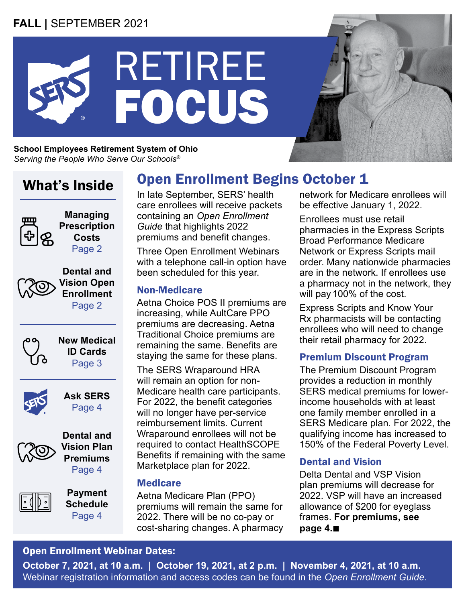## **FALL |** SEPTEMBER 2021



**School Employees Retirement System of Ohio** *Serving the People Who Serve Our Schools®*

# What's Inside



**Managing Prescription Costs** Page 2



**Vision Plan Premiums** Page 4



**Payment Schedule** Page 4

# Open Enrollment Begins October 1

In late September, SERS' health care enrollees will receive packets containing an *Open Enrollment Guide* that highlights 2022 premiums and benefit changes.

Three Open Enrollment Webinars with a telephone call-in option have been scheduled for this year.

#### Non-Medicare

Aetna Choice POS II premiums are increasing, while AultCare PPO premiums are decreasing. Aetna Traditional Choice premiums are remaining the same. Benefits are staying the same for these plans.

The SERS Wraparound HRA will remain an option for non-Medicare health care participants. For 2022, the benefit categories will no longer have per-service reimbursement limits. Current Wraparound enrollees will not be required to contact HealthSCOPE Benefits if remaining with the same Marketplace plan for 2022.

#### **Medicare**

Aetna Medicare Plan (PPO) premiums will remain the same for 2022. There will be no co-pay or cost-sharing changes. A pharmacy network for Medicare enrollees will be effective January 1, 2022.

Enrollees must use retail pharmacies in the Express Scripts Broad Performance Medicare Network or Express Scripts mail order. Many nationwide pharmacies are in the network. If enrollees use a pharmacy not in the network, they will pay 100% of the cost.

Express Scripts and Know Your Rx pharmacists will be contacting enrollees who will need to change their retail pharmacy for 2022.

## Premium Discount Program

The Premium Discount Program provides a reduction in monthly SERS medical premiums for lowerincome households with at least one family member enrolled in a SERS Medicare plan. For 2022, the qualifying income has increased to 150% of the Federal Poverty Level.

## Dental and Vision

Delta Dental and VSP Vision plan premiums will decrease for 2022. VSP will have an increased allowance of \$200 for eyeglass frames. **For premiums, see page 4.**n

## Open Enrollment Webinar Dates:

**October 7, 2021, at 10 a.m. | October 19, 2021, at 2 p.m. | November 4, 2021, at 10 a.m.** Webinar registration information and access codes can be found in the *Open Enrollment Guide*.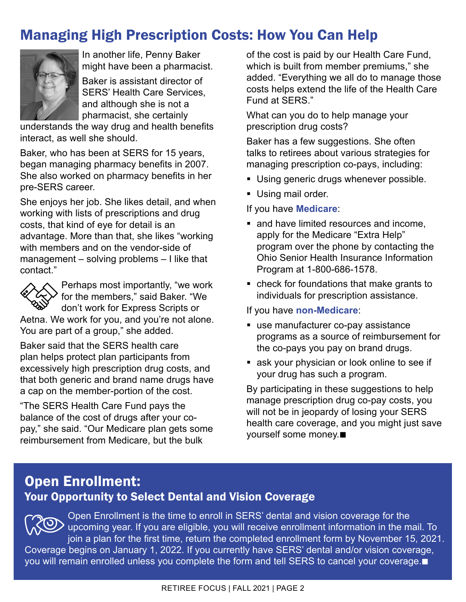# Managing High Prescription Costs: How You Can Help



In another life, Penny Baker might have been a pharmacist.

Baker is assistant director of SERS' Health Care Services, and although she is not a pharmacist, she certainly

understands the way drug and health benefits interact, as well she should.

Baker, who has been at SERS for 15 years, began managing pharmacy benefits in 2007. She also worked on pharmacy benefits in her pre-SERS career.

She enjoys her job. She likes detail, and when working with lists of prescriptions and drug costs, that kind of eye for detail is an advantage. More than that, she likes "working with members and on the vendor-side of management – solving problems – I like that contact."



Perhaps most importantly, "we work for the members," said Baker. "We don't work for Express Scripts or

Aetna. We work for you, and you're not alone. You are part of a group," she added.

Baker said that the SERS health care plan helps protect plan participants from excessively high prescription drug costs, and that both generic and brand name drugs have a cap on the member-portion of the cost.

"The SERS Health Care Fund pays the balance of the cost of drugs after your copay," she said. "Our Medicare plan gets some reimbursement from Medicare, but the bulk

of the cost is paid by our Health Care Fund, which is built from member premiums," she added. "Everything we all do to manage those costs helps extend the life of the Health Care Fund at SERS."

What can you do to help manage your prescription drug costs?

Baker has a few suggestions. She often talks to retirees about various strategies for managing prescription co-pays, including:

- **Using generic drugs whenever possible.**
- **Using mail order.**

If you have **Medicare**:

- and have limited resources and income, apply for the Medicare "Extra Help" program over the phone by contacting the Ohio Senior Health Insurance Information Program at 1-800-686-1578.
- check for foundations that make grants to individuals for prescription assistance.

#### If you have **non-Medicare**:

- use manufacturer co-pay assistance programs as a source of reimbursement for the co-pays you pay on brand drugs.
- **ask your physician or look online to see if** your drug has such a program.

By participating in these suggestions to help manage prescription drug co-pay costs, you will not be in jeopardy of losing your SERS health care coverage, and you might just save yourself some money.■

## Open Enrollment: Your Opportunity to Select Dental and Vision Coverage

Open Enrollment is the time to enroll in SERS' dental and vision coverage for the UD upcoming year. If you are eligible, you will receive enrollment information in the mail. To join a plan for the first time, return the completed enrollment form by November 15, 2021. Coverage begins on January 1, 2022. If you currently have SERS' dental and/or vision coverage, you will remain enrolled unless you complete the form and tell SERS to cancel your coverage.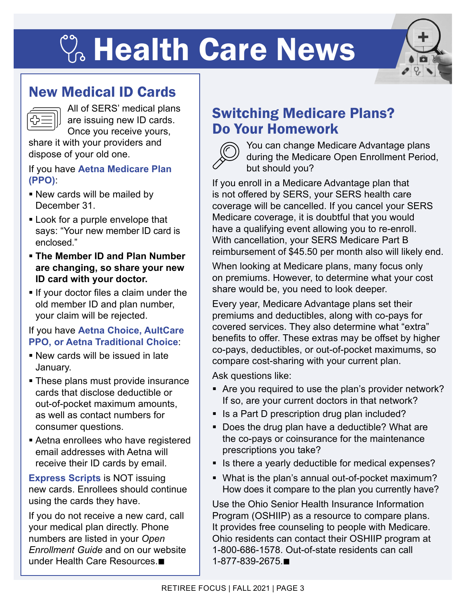# **C. Health Care News**



## New Medical ID Cards

All of SERS' medical plans are issuing new ID cards. Once you receive yours,

share it with your providers and dispose of your old one.

#### If you have **Aetna Medicare Plan (PPO)**:

- New cards will be mailed by December 31.
- **Look for a purple envelope that** says: "Your new member ID card is enclosed."
- **The Member ID and Plan Number are changing, so share your new ID card with your doctor.**
- **If your doctor files a claim under the** old member ID and plan number, your claim will be rejected.

## If you have **Aetna Choice, AultCare PPO, or Aetna Traditional Choice**:

- New cards will be issued in late January.
- **These plans must provide insurance** cards that disclose deductible or out-of-pocket maximum amounts, as well as contact numbers for consumer questions.
- Aetna enrollees who have registered email addresses with Aetna will receive their ID cards by email.

**Express Scripts** is NOT issuing new cards. Enrollees should continue using the cards they have.

If you do not receive a new card, call your medical plan directly. Phone numbers are listed in your *Open Enrollment Guide* and on our website under Health Care Resources. $\blacksquare$ 

# Switching Medicare Plans? Do Your Homework



You can change Medicare Advantage plans during the Medicare Open Enrollment Period, but should you?

If you enroll in a Medicare Advantage plan that is not offered by SERS, your SERS health care coverage will be cancelled. If you cancel your SERS Medicare coverage, it is doubtful that you would have a qualifying event allowing you to re-enroll. With cancellation, your SERS Medicare Part B reimbursement of \$45.50 per month also will likely end.

When looking at Medicare plans, many focus only on premiums. However, to determine what your cost share would be, you need to look deeper.

Every year, Medicare Advantage plans set their premiums and deductibles, along with co-pays for covered services. They also determine what "extra" benefits to offer. These extras may be offset by higher co-pays, deductibles, or out-of-pocket maximums, so compare cost-sharing with your current plan.

Ask questions like:

- Are you required to use the plan's provider network? If so, are your current doctors in that network?
- Is a Part D prescription drug plan included?
- Does the drug plan have a deductible? What are the co-pays or coinsurance for the maintenance prescriptions you take?
- Is there a yearly deductible for medical expenses?
- What is the plan's annual out-of-pocket maximum? How does it compare to the plan you currently have?

Use the Ohio Senior Health Insurance Information Program (OSHIIP) as a resource to compare plans. It provides free counseling to people with Medicare. Ohio residents can contact their OSHIIP program at 1-800-686-1578. Out-of-state residents can call 1-877-839-2675.**n**